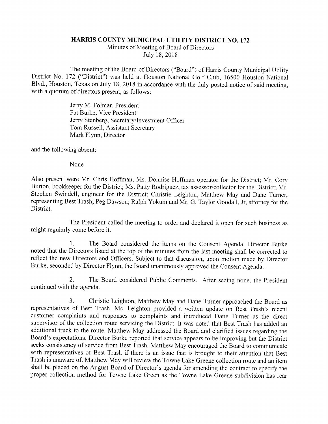## HARRIS COUNTY MUNICIPAL UTILITY DISTRICT NO. 172

Minutes of Meeting of Board of Directors July 18, 2018

The meeting of the Board of Directors ("Board") of Harris County Municipal Utility District No. 172 ("District") was held at Houston National Golf Club, 16500 Houston National Blvd., Houston, Texas on July 18, 2018 in accordance with the duly posted notice of said meeting, with a quorum of directors present, as follows:

> Jerry M. Folmar, President Pat Burke, Vice President Jerry Stenberg, Secretary/Investment Officer Tom Russell, Assistant Secretary Mark Flynn, Director

and the following absent:

None

Also present were Mr. Chris Hoffman, Ms. Donnise Hoffman operator for the District; Mr. Cory Burton, bookkeeper for the District; Ms. Patty Rodriguez, tax assessor/collector for the District; Mr. Stephen Swindell, engineer for the District; Christie Leighton, Matthew May and Dane Turner, representing Best Trash; Peg Dawson; Ralph Yokum and Mr. G. Taylor Goodall, Jr, attorney for the District.

The President called the meeting to order and declared it open for such business as might regularly come before it.

1. The Board considered the items on the Consent Agenda. Director Burke noted that the Directors listed at the top of the minutes from the last meeting shall be corrected to reflect the new Directors and Officers. Subject to that discussion, upon motion made by Director Burke, seconded by Director Flynn, the Board unanimously approved the Consent Agenda..

2. The Board considered Public Comments. After seeing none, the President continued with the agenda.

3. Christie Leighton, Matthew May and Dane Turner approached the Board as representatives of Best Trash. Ms. Leighton provided a written update on Best Trash's recent customer complaints and responses to complaints and introduced Dane Turner as the direct supervisor of the collection route servicing the District. It was noted that Best Trash has added an additional truck to the route. Matthew May addressed the Board and clarified issues regarding the Board's expectations. Director Burke reported that service appears to be improving but the District seeks consistency of service from Best Trash. Matthew May encouraged the Board to communicate with representatives of Best Trash if there is an issue that is brought to their attention that Best Trash is unaware of. Matthew May will review the Towne Lake Greene collection route and an item shall be placed on the August Board of Director's agenda for amending the contract to specify the proper collection method for Towne Lake Green as the Towne Lake Greene subdivision has rear